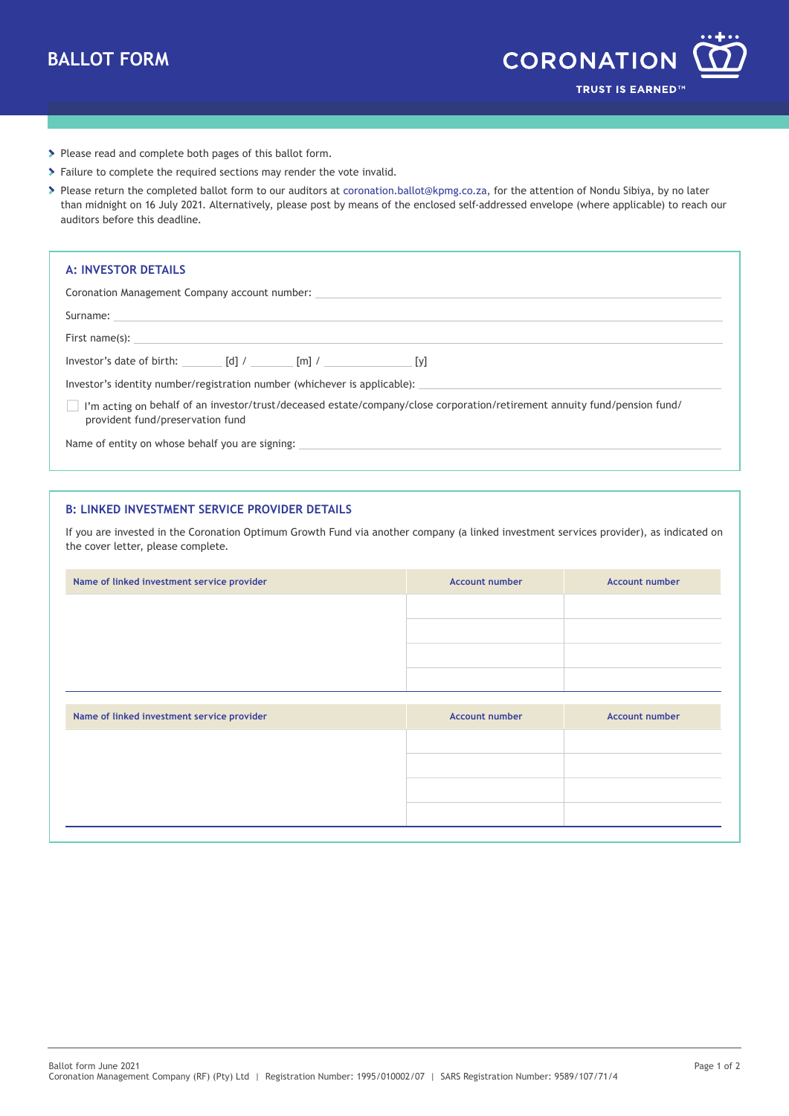

- > Please read and complete both pages of this ballot form.
- Failure to complete the required sections may render the vote invalid.
- Please return the completed ballot form to our auditors at [coronation.ballot@kpmg.co.za, f](mailto:coronation.ballot@kpmg.co.za)or the attention of Nondu Sibiya, by no later than midnight on 16 July 2021. Alternatively, please post by means of the enclosed self-addressed envelope (where applicable) to reach our auditors before this deadline.

| <b>A: INVESTOR DETAILS</b>                                                                                                                                              |  |                                                                                                                                                                                                                                      |
|-------------------------------------------------------------------------------------------------------------------------------------------------------------------------|--|--------------------------------------------------------------------------------------------------------------------------------------------------------------------------------------------------------------------------------------|
|                                                                                                                                                                         |  |                                                                                                                                                                                                                                      |
|                                                                                                                                                                         |  | Coronation Management Company account number: ___________________________________                                                                                                                                                    |
|                                                                                                                                                                         |  |                                                                                                                                                                                                                                      |
|                                                                                                                                                                         |  | First name(s): <u>example and the set of the set of the set of the set of the set of the set of the set of the set of the set of the set of the set of the set of the set of the set of the set of the set of the set of the set</u> |
| Investor's date of birth: $\begin{bmatrix} d \end{bmatrix}$ / $\begin{bmatrix} m \end{bmatrix}$ / $\begin{bmatrix} m \end{bmatrix}$ / $\begin{bmatrix} y \end{bmatrix}$ |  |                                                                                                                                                                                                                                      |
|                                                                                                                                                                         |  |                                                                                                                                                                                                                                      |
| provident fund/preservation fund                                                                                                                                        |  | I'm acting on behalf of an investor/trust/deceased estate/company/close corporation/retirement annuity fund/pension fund/                                                                                                            |
| Name of entity on whose behalf you are signing:                                                                                                                         |  |                                                                                                                                                                                                                                      |

## **B: LINKED INVESTMENT SERVICE PROVIDER DETAILS**

If you are invested in the Coronation Optimum Growth Fund via another company (a linked investment services provider), as indicated on the cover letter, please complete.

| Name of linked investment service provider | <b>Account number</b> | <b>Account number</b> |
|--------------------------------------------|-----------------------|-----------------------|
|                                            |                       |                       |
|                                            |                       |                       |
|                                            |                       |                       |
|                                            |                       |                       |
| Name of linked investment service provider | <b>Account number</b> | <b>Account number</b> |
|                                            |                       |                       |
|                                            |                       |                       |
|                                            |                       |                       |